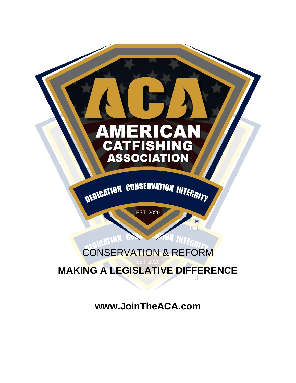

**www.JoinTheACA.com**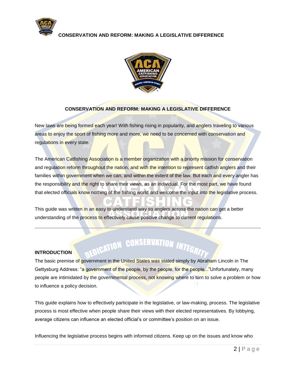



#### **CONSERVATION AND REFORM: MAKING A LEGISLATIVE DIFFERENCE**

New laws are being formed each year! With fishing rising in popularity, and anglers traveling to various areas to enjoy the sport of fishing more and more, we need to be concerned with conservation and regulations in every state.

The American Catfishing Association is a member organization with a priority mission for conservation and regulation reform throughout the nation, and with the intention to represent catfish anglers and their families within government when we can, and within the extent of the law. But each and every angler has the responsibility and the right to share their views, as an individual. For the most part, we have found that elected officials know nothing of the fishing world and welcome the input into the legislative process.

This guide was written in an easy to understand way so anglers across the nation can get a better understanding of the process to effectively cause positive change to current regulations.

# **ENIGATION CONSERVATION INTEGR**

#### **INTRODUCTION**

The basic premise of government in the United States was stated simply by Abraham Lincoln in The Gettysburg Address: "a government of the people, by the people, for the people..."Unfortunately, many people are intimidated by the governmental process, not knowing where to turn to solve a problem or how to influence a policy decision.

This guide explains how to effectively participate in the legislative, or law-making, process. The legislative process is most effective when people share their views with their elected representatives. By lobbying, average citizens can influence an elected official's or committee's position on an issue.

Influencing the legislative process begins with informed citizens. Keep up on the issues and know who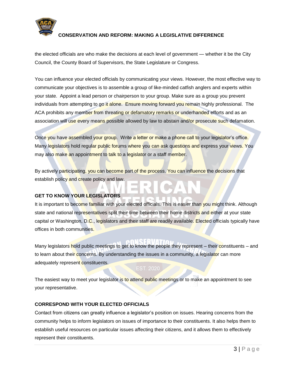

the elected officials are who make the decisions at each level of government — whether it be the City Council, the County Board of Supervisors, the State Legislature or Congress.

You can influence your elected officials by communicating your views. However, the most effective way to communicate your objectives is to assemble a group of like-minded catfish anglers and experts within your state. Appoint a lead person or chairperson to your group. Make sure as a group you prevent individuals from attempting to go it alone. Ensure moving forward you remain highly professional. The ACA prohibits any member from threating or defamatory remarks or underhanded efforts and as an association will use every means possible allowed by law to abstain and/or prosecute such defamation.

Once you have assembled your group. Write a letter or make a phone call to your legislator's office. Many legislators hold regular public forums where you can ask questions and express your views. You may also make an appointment to talk to a legislator or a staff member.

By actively participating, you can become part of the process. You can influence the decisions that establish policy and create policy and law.

#### **GET TO KNOW YOUR LEGISLATORS**

It is important to become familiar with your elected officials. This is easier than you might think. Although state and national representatives split their time between their home districts and either at your state capital or Washington, D.C., legislators and their staff are readily available. Elected officials typically have offices in both communities.

Many legislators hold public meetings to get to know the people they represent – their constituents – and to learn about their concerns. By understanding the issues in a community, a legislator can more adequately represent constituents.

NSERVATI

The easiest way to meet your legislator is to attend public meetings or to make an appointment to see your representative.

#### **CORRESPOND WITH YOUR ELECTED OFFICIALS**

Contact from citizens can greatly influence a legislator's position on issues. Hearing concerns from the community helps to inform legislators on issues of importance to their constituents. It also helps them to establish useful resources on particular issues affecting their citizens, and it allows them to effectively represent their constituents.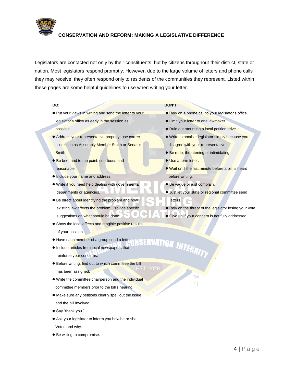

Legislators are contacted not only by their constituents, but by citizens throughout their district, state or nation. Most legislators respond promptly. However, due to the large volume of letters and phone calls they may receive, they often respond only to residents of the communities they represent. Listed within these pages are some helpful guidelines to use when writing your letter.

#### **DO:**

- **•** Put your views in writing and send the letter to your legislator's office as early in the session as
- possible.
- **Address your representative properly; use correct** titles such as Assembly Member Smith or Senator Smith.
- **Be brief and to the point, courteous and** reasonable.
- **Include your name and address.**
- **.** Write if you need help dealing with governmental departments or agencies.
- **Be direct about identifying the problem and how** existing law affects the problem. Provide specific suggestions on what should be done.
- **•** Show the local effects and tangible positive results
	- of your position.
- $\bullet$  Have each member of a group send a letter.
- **Include articles from local newspapers that** reinforce your concerns.
- **•** Before writing, find out to which committee the bill **ST. 2020** has been assigned.
- **.** Write the committee chairperson and the individual
- committee members prior to the bill's hearing.
- Make sure any petitions clearly spell out the issue and the bill involved.
- Say "thank you."
- Ask your legislator to inform you how he or she
- Voted and why.
- $\bullet$  Be willing to compromise.

#### **DON'T:**

- **Rely on a phone call to your legislator's office.**
- **.** Limit your letter to one lawmaker.
- **•** Rule out mounting a local petition drive.
- **Write to another legislator simply because you** disagree with your representative.
- **Be rude, threatening or intimidating.**
- **Use a form letter.**

**RVATION INTEGRITY** 

**TM** 

- Wait until the last minute before a bill is heard before writing.
- **Be vague or just complain.**
- **Just let your state or regional committee send** letters.
- Rely on the threat of the legislator losing your vote.
- Give up if your concern is not fully addressed.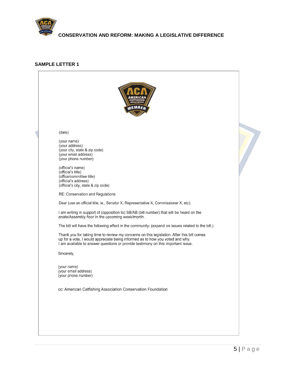

#### **SAMPLE LETTER 1**

| (date)<br>(your name)<br>(your address)<br>(your city, state & zip code)<br>(your email address)<br>(your phone number)<br>(official's name)<br>(official's title)<br>(office/committee title)<br>(official's address)<br>(official's city, state & zip code)<br>RE: Conservation and Regulations<br>Dear (use an official title, ie., Senator X, Representative X, Commissioner X, etc):<br>I am writing in support of (opposition to) SB/AB (bill number) that will be heard on the<br>enate/Assembly floor in the upcoming week/month.<br>The bill will have the following effect in the community: (expand on issues related to the bill.)<br>Thank you for taking time to review my concerns on this legislation. After this bill comes<br>up for a vote, I would appreciate being informed as to how you voted and why.<br>I am available to answer questions or provide testimony on this important issue.<br>Sincerely,<br>(your name)<br>(your email address)<br>(your phone number)<br>cc: American Catfishing Association Conservation Foundation |  |
|--------------------------------------------------------------------------------------------------------------------------------------------------------------------------------------------------------------------------------------------------------------------------------------------------------------------------------------------------------------------------------------------------------------------------------------------------------------------------------------------------------------------------------------------------------------------------------------------------------------------------------------------------------------------------------------------------------------------------------------------------------------------------------------------------------------------------------------------------------------------------------------------------------------------------------------------------------------------------------------------------------------------------------------------------------------|--|
|                                                                                                                                                                                                                                                                                                                                                                                                                                                                                                                                                                                                                                                                                                                                                                                                                                                                                                                                                                                                                                                              |  |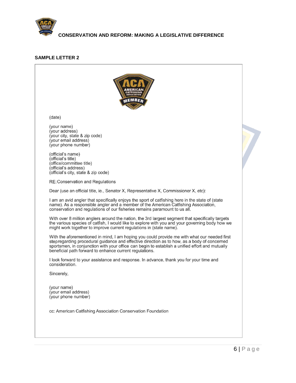

#### **SAMPLE LETTER 2**

| (date)                                                                                                                                                                                                                                                                                                                                                    |  |
|-----------------------------------------------------------------------------------------------------------------------------------------------------------------------------------------------------------------------------------------------------------------------------------------------------------------------------------------------------------|--|
| (your name)<br>(your address)<br>(your city, state & zip code)<br>(your email address)<br>(your phone number)<br>(official's name)<br>(official's title)<br>(office/committee title)<br>(official's address)<br>(official's city, state & zip code)                                                                                                       |  |
| <b>RE: Conservation and Regulations</b>                                                                                                                                                                                                                                                                                                                   |  |
| Dear (use an official title, ie., Senator X, Representative X, Commissioner X, etc):                                                                                                                                                                                                                                                                      |  |
| I am an avid angler that specifically enjoys the sport of catfishing here in the state of (state<br>name). As a responsible angler and a member of the American Catfishing Association,<br>conservation and regulations of our fisheries remains paramount to us all.                                                                                     |  |
| With over 8 million anglers around the nation, the 3rd largest segment that specifically targets<br>the various species of catfish, I would like to explore with you and your governing body how we<br>might work together to improve current regulations in (state name).                                                                                |  |
| With the aforementioned in mind, I am hoping you could provide me with what our needed first<br>stepregarding procedural guidance and effective direction as to how, as a body of concerned<br>sportsmen, in conjunction with your office can begin to establish a unified effort and mutually<br>beneficial path forward to enhance current regulations. |  |
| I look forward to your assistance and response. In advance, thank you for your time and<br>consideration.                                                                                                                                                                                                                                                 |  |
| Sincerely,                                                                                                                                                                                                                                                                                                                                                |  |
| (your name)<br>(your email address)<br>(your phone number)                                                                                                                                                                                                                                                                                                |  |
| cc: American Catfishing Association Conservation Foundation                                                                                                                                                                                                                                                                                               |  |
|                                                                                                                                                                                                                                                                                                                                                           |  |
|                                                                                                                                                                                                                                                                                                                                                           |  |

 $\overline{\phantom{a}}$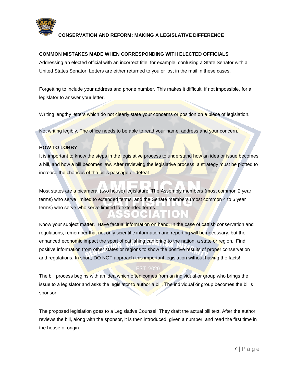

#### **COMMON MISTAKES MADE WHEN CORRESPONDING WITH ELECTED OFFICIALS**

Addressing an elected official with an incorrect title, for example, confusing a State Senator with a United States Senator. Letters are either returned to you or lost in the mail in these cases.

Forgetting to include your address and phone number. This makes it difficult, if not impossible, for a legislator to answer your letter.

Writing lengthy letters which do not clearly state your concerns or position on a piece of legislation.

Not writing legibly. The office needs to be able to read your name, address and your concern.

#### **HOW TO LOBBY**

It is important to know the steps in the legislative process to understand how an idea or issue becomes a bill, and how a bill becomes law. After reviewing the legislative process, a strategy must be plotted to increase the chances of the bill's passage or defeat.

Most states are a bicameral (two house) legislature. The Assembly members (most common 2 year terms) who serve limited to extended terms, and the Senate members (most common 4 to 6 year terms) who serve who serve limited to extended terms.

Know your subject matter. Have factual information on hand. In the case of catfish conservation and regulations, remember that not only scientific information and reporting will be necessary, but the enhanced economic impact the sport of catfishing can bring to the nation, a state or region. Find positive information from other states or regions to show the positive results of proper conservation and regulations. In short, DO NOT approach this important legislation without having the facts!

#### EST. 2020

The bill process begins with an idea which often comes from an individual or group who brings the issue to a legislator and asks the legislator to author a bill. The individual or group becomes the bill's sponsor.

The proposed legislation goes to a Legislative Counsel. They draft the actual bill text. After the author reviews the bill, along with the sponsor, it is then introduced, given a number, and read the first time in the house of origin.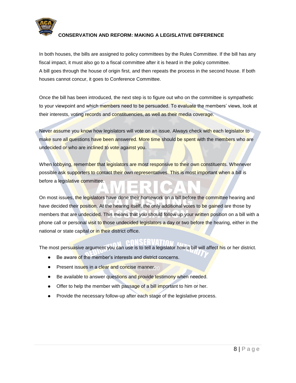

In both houses, the bills are assigned to policy committees by the Rules Committee. If the bill has any fiscal impact, it must also go to a fiscal committee after it is heard in the policy committee. A bill goes through the house of origin first, and then repeats the process in the second house. If both houses cannot concur, it goes to Conference Committee.

Once the bill has been introduced, the next step is to figure out who on the committee is sympathetic to your viewpoint and which members need to be persuaded. To evaluate the members' views, look at their interests, voting records and constituencies, as well as their media coverage.

Never assume you know how legislators will vote on an issue. Always check with each legislator to make sure all questions have been answered. More time should be spent with the members who are undecided or who are inclined to vote against you.

When lobbying, remember that legislators are most responsive to their own constituents. Whenever possible ask supporters to contact their own representatives. This is most important when a bill is before a legislative committee.

On most issues, the legislators have done their homework on a bill before the committee hearing and have decided their position. At the hearing itself, the only additional votes to be gained are those by members that are undecided. This means that you should follow up your written position on a bill with a phone call or personal visit to those undecided legislators a day or two before the hearing, either in the national or state capital or in their district office.

The most persuasive argument you can use is to tell a legislator how a bill will affect his or her district.

- Be aware of the member's interests and district concerns.
- Present issues in a clear and concise manner.
- Be available to answer questions and provide testimony when needed.
- Offer to help the member with passage of a bill important to him or her.
- Provide the necessary follow-up after each stage of the legislative process.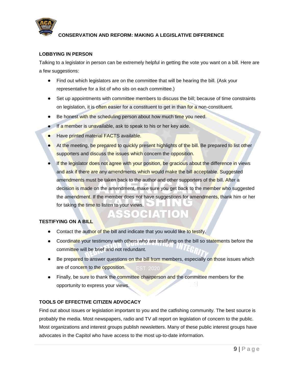

#### **LOBBYING IN PERSON**

Talking to a legislator in person can be extremely helpful in getting the vote you want on a bill. Here are a few suggestions:

- Find out which legislators are on the committee that will be hearing the bill. (Ask your  $\bullet$ representative for a list of who sits on each committee.)
- Set up appointments with committee members to discuss the bill; because of time constraints on legislation, it is often easier for a constituent to get in than for a non-constituent.
- Be honest with the scheduling person about how much time you need.
- **If a member is unavailable, ask to speak to his or her key aide.**
- Have printed material FACTS available.
- At the meeting, be prepared to quickly present highlights of the bill. Be prepared to list other supporters and discuss the issues which concern the opposition.
- If the legislator does not agree with your position, be gracious about the difference in views and ask if there are any amendments which would make the bill acceptable. Suggested amendments must be taken back to the author and other supporters of the bill. After a decision is made on the amendment, make sure you get back to the member who suggested the amendment. If the member does not have suggestions for amendments, thank him or her for taking the time to listen to your views.

ATTIOR

#### **TESTIFYING ON A BILL**

- Contact the author of the bill and indicate that you would like to testify.
- Coordinate your testimony with others who are testifying on the bill so statements before the committee will be brief and not redundant.
- Be prepared to answer questions on the bill from members, especially on those issues which are of concern to the opposition. **EST. 2020**
- Finally, be sure to thank the committee chairperson and the committee members for the opportunity to express your views.

#### **TOOLS OF EFFECTIVE CITIZEN ADVOCACY**

Find out about issues or legislation important to you and the catfishing community. The best source is probably the media. Most newspapers, radio and TV all report on legislation of concern to the public. Most organizations and interest groups publish newsletters. Many of these public interest groups have advocates in the Capitol who have access to the most up-to-date information.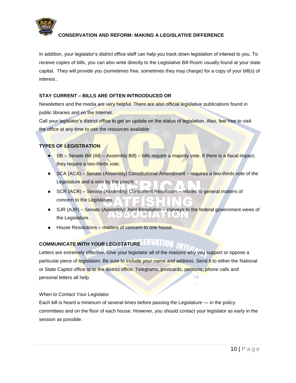

In addition, your legislator's district office staff can help you track down legislation of interest to you. To receive copies of bills, you can also write directly to the Legislative Bill Room usually found at your state capital. They will provide you (sometimes free, sometimes they may charge) for a copy of your bill(s) of interest .

#### **STAY CURRENT – BILLS ARE OFTEN INTROODUCED OR**

Newsletters and the media are very helpful. There are also official legislative publications found in public libraries and on the Internet.

Call your legislator's district office to get an update on the status of legislation. Also, feel free to visit the office at any time to use the resources available.

### **TYPES OF LEGISTRATION**

- SB Senate Bill (AB Assembly Bill) bills require a majority vote. If there is a fiscal impact, they require a two-thirds vote.
- SCA (ACA) Senate (Assembly) Constitutional Amendment requires a two-thirds vote of the Legislature and a vote by the people.
- SCR (ACR) Senate (Assembly) Concurrent Resolution relates to general matters of concern to the Legislature.
- SJR (AJR) Senate (Assembly) Joint Resolution conveys to the federal government views of the Legislature.
- House Resolutions matters of concern to one house.

## **COMMUNICATE WITH YOUR LEGISTATURE**

Letters are extremely effective. Give your legislator all of the reasons why you support or oppose a particular piece of legislation. Be sure to include your name and address. Send it to either the National or State Capitol office or to the district office. Telegrams, postcards, petitions, phone calls and **TM** personal letters all help.

#### When to Contact Your Legislator

Each bill is heard a minimum of several times before passing the Legislature — in the policy committees and on the floor of each house. However, you should contact your legislator as early in the session as possible.